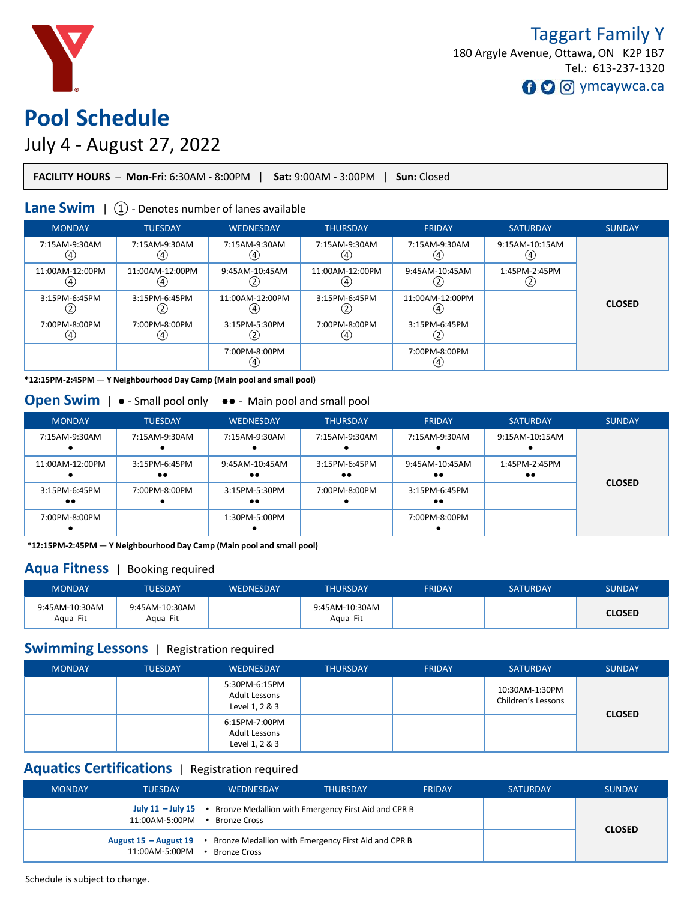

# **Pool Schedule**

# July 4 - August 27, 2022

|--|

# **Lane Swim** | 1 + Denotes number of lanes available

| <b>MONDAY</b>         | <b>TUESDAY</b>         | <b>WEDNESDAY</b>       | <b>THURSDAY</b> | <b>FRIDAY</b>          | <b>SATURDAY</b> | <b>SUNDAY</b> |
|-----------------------|------------------------|------------------------|-----------------|------------------------|-----------------|---------------|
| 7:15AM-9:30AM<br>(4)  | 7:15AM-9:30AM<br>(4)   | 7:15AM-9:30AM<br>ι4,   | 7:15AM-9:30AM   | 7:15AM-9:30AM<br>(4)   | 9:15AM-10:15AM  |               |
| 11:00AM-12:00PM<br>(4 | 11:00AM-12:00PM<br>(4) | 9:45AM-10:45AM         | 11:00AM-12:00PM | 9:45AM-10:45AM<br>ري   | 1:45PM-2:45PM   |               |
| 3:15PM-6:45PM         | 3:15PM-6:45PM<br>رىمى  | 11:00AM-12:00PM<br>(4) | 3:15PM-6:45PM   | 11:00AM-12:00PM<br>(4) |                 | <b>CLOSED</b> |
| 7:00PM-8:00PM<br>(4)  | 7:00PM-8:00PM<br>④     | 3:15PM-5:30PM          | 7:00PM-8:00PM   | 3:15PM-6:45PM<br>رے    |                 |               |
|                       |                        | 7:00PM-8:00PM          |                 | 7:00PM-8:00PM<br>(4)   |                 |               |

**\*12:15PM-2:45PM** — **Y Neighbourhood Day Camp (Main pool and small pool)**

| <b>MONDAY</b>                     | <b>TUESDAY</b>                    | <b>WEDNESDAY</b>                   | <b>THURSDAY</b>                   | <b>FRIDAY</b>                      | <b>SATURDAY</b>                   | <b>SUNDAY</b> |
|-----------------------------------|-----------------------------------|------------------------------------|-----------------------------------|------------------------------------|-----------------------------------|---------------|
| 7:15AM-9:30AM                     | 7:15AM-9:30AM                     | 7:15AM-9:30AM                      | 7:15AM-9:30AM                     | 7:15AM-9:30AM                      | 9:15AM-10:15AM                    |               |
| 11:00AM-12:00PM                   | 3:15PM-6:45PM<br>$\bullet\bullet$ | 9:45AM-10:45AM<br>$\bullet\bullet$ | 3:15PM-6:45PM<br>$\bullet\bullet$ | 9:45AM-10:45AM<br>$\bullet\bullet$ | 1:45PM-2:45PM<br>$\bullet\bullet$ |               |
| 3:15PM-6:45PM<br>$\bullet\bullet$ | 7:00PM-8:00PM                     | 3:15PM-5:30PM<br>$\bullet\bullet$  | 7:00PM-8:00PM                     | 3:15PM-6:45PM<br>$\bullet\bullet$  |                                   | <b>CLOSED</b> |
| 7:00PM-8:00PM                     |                                   | 1:30PM-5:00PM                      |                                   | 7:00PM-8:00PM                      |                                   |               |

**\*12:15PM-2:45PM** — **Y Neighbourhood Day Camp (Main pool and small pool)**

#### **Aqua Fitness** | Booking required

| <b>MONDAY</b>              | TUESDAY                    | <b>WEDNESDAY</b> | <b>THURSDAY</b>            | <b>FRIDAY</b> | <b>SATURDAY</b> | <b>SUNDAY</b> |
|----------------------------|----------------------------|------------------|----------------------------|---------------|-----------------|---------------|
| 9:45AM-10:30AM<br>Aqua Fit | 9:45AM-10:30AM<br>Aqua Fit |                  | 9:45AM-10:30AM<br>Agua Fit |               |                 | <b>CLOSED</b> |

#### **Swimming Lessons** | Registration required

| <b>MONDAY</b> | <b>TUESDAY</b> | <b>WEDNESDAY</b>                                 | <b>THURSDAY</b> | <b>FRIDAY</b> | <b>SATURDAY</b>                      | <b>SUNDAY</b> |
|---------------|----------------|--------------------------------------------------|-----------------|---------------|--------------------------------------|---------------|
|               |                | 5:30PM-6:15PM<br>Adult Lessons<br>Level 1, 2 & 3 |                 |               | 10:30AM-1:30PM<br>Children's Lessons | <b>CLOSED</b> |
|               |                | 6:15PM-7:00PM<br>Adult Lessons<br>Level 1, 2 & 3 |                 |               |                                      |               |

# **Aquatics Certifications** | Registration required

| <b>MONDAY</b> | <b>TUFSDAY</b> | <b>WEDNESDAY</b>                                                                            | <b>THURSDAY</b> | <b>FRIDAY</b> | <b>SATURDAY</b> | <b>SUNDAY</b> |
|---------------|----------------|---------------------------------------------------------------------------------------------|-----------------|---------------|-----------------|---------------|
|               | 11:00AM-5:00PM | July 11 - July 15 • Bronze Medallion with Emergency First Aid and CPR B<br>• Bronze Cross   |                 |               |                 |               |
|               | 11:00AM-5:00PM | August 15 - August 19 • Bronze Medallion with Emergency First Aid and CPR B<br>Bronze Cross |                 |               |                 | <b>CLOSED</b> |